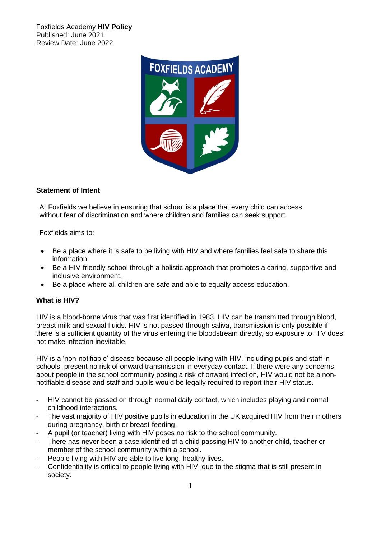Foxfields Academy **HIV Policy** Published: June 2021 Review Date: June 2022



# **Statement of Intent**

At Foxfields we believe in ensuring that school is a place that every child can access without fear of discrimination and where children and families can seek support.

Foxfields aims to:

- Be a place where it is safe to be living with HIV and where families feel safe to share this information.
- Be a HIV-friendly school through a holistic approach that promotes a caring, supportive and inclusive environment.
- Be a place where all children are safe and able to equally access education.

## **What is HIV?**

HIV is a blood-borne virus that was first identified in 1983. HIV can be transmitted through blood, breast milk and sexual fluids. HIV is not passed through saliva, transmission is only possible if there is a sufficient quantity of the virus entering the bloodstream directly, so exposure to HIV does not make infection inevitable.

HIV is a 'non-notifiable' disease because all people living with HIV, including pupils and staff in schools, present no risk of onward transmission in everyday contact. If there were any concerns about people in the school community posing a risk of onward infection, HIV would not be a nonnotifiable disease and staff and pupils would be legally required to report their HIV status.

- HIV cannot be passed on through normal daily contact, which includes playing and normal childhood interactions.
- The vast majority of HIV positive pupils in education in the UK acquired HIV from their mothers during pregnancy, birth or breast-feeding.
- A pupil (or teacher) living with HIV poses no risk to the school community.
- There has never been a case identified of a child passing HIV to another child, teacher or member of the school community within a school.
- People living with HIV are able to live long, healthy lives.
- Confidentiality is critical to people living with HIV, due to the stigma that is still present in society.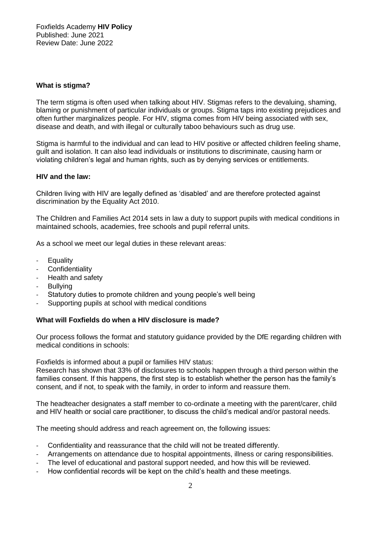## **What is stigma?**

The term stigma is often used when talking about HIV. Stigmas refers to the devaluing, shaming, blaming or punishment of particular individuals or groups. Stigma taps into existing prejudices and often further marginalizes people. For HIV, stigma comes from HIV being associated with sex, disease and death, and with illegal or culturally taboo behaviours such as drug use.

Stigma is harmful to the individual and can lead to HIV positive or affected children feeling shame, guilt and isolation. It can also lead individuals or institutions to discriminate, causing harm or violating children's legal and human rights, such as by denying services or entitlements.

## **HIV and the law:**

Children living with HIV are legally defined as 'disabled' and are therefore protected against discrimination by the Equality Act 2010.

The Children and Families Act 2014 sets in law a duty to support pupils with medical conditions in maintained schools, academies, free schools and pupil referral units.

As a school we meet our legal duties in these relevant areas:

- **Equality**
- **Confidentiality**
- Health and safety
- **Bullving**
- Statutory duties to promote children and young people's well being
- Supporting pupils at school with medical conditions

#### **What will Foxfields do when a HIV disclosure is made?**

Our process follows the format and statutory guidance provided by the DfE regarding children with medical conditions in schools:

Foxfields is informed about a pupil or families HIV status:

Research has shown that 33% of disclosures to schools happen through a third person within the families consent. If this happens, the first step is to establish whether the person has the family's consent, and if not, to speak with the family, in order to inform and reassure them.

The headteacher designates a staff member to co-ordinate a meeting with the parent/carer, child and HIV health or social care practitioner, to discuss the child's medical and/or pastoral needs.

The meeting should address and reach agreement on, the following issues:

- Confidentiality and reassurance that the child will not be treated differently.
- Arrangements on attendance due to hospital appointments, illness or caring responsibilities.
- The level of educational and pastoral support needed, and how this will be reviewed.
- How confidential records will be kept on the child's health and these meetings.